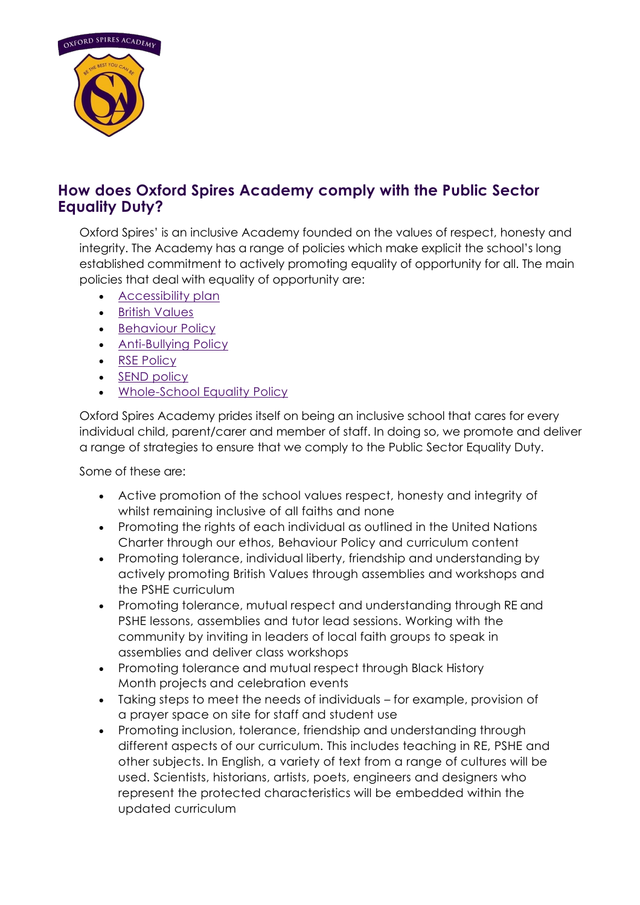

## **How does Oxford Spires Academy comply with the Public Sector Equality Duty?**

Oxford Spires' is an inclusive Academy founded on the values of respect, honesty and integrity. The Academy has a range of policies which make explicit the school's long established commitment to actively promoting equality of opportunity for all. The main policies that deal with equality of opportunity are:

- **[Accessibility plan](https://www.oxfordspiresacademy.org/download/trust-policies/Accessibility-Plan-and-appendicies.pdf)**
- [British Values](https://www.oxfordspiresacademy.org/download/Safeguarding%20Documents/OSA-British-Values-Booklet-1.pdf)
- [Behaviour Policy](https://www.oxfordspiresacademy.org/download/trust-policies/School-Behaviour-Policy.pdf)
- **[Anti-Bullying Policy](https://www.oxfordspiresacademy.org/download/trust-policies/Anti-bullying-Policy.pdf)**
- [RSE Policy](https://www.oxfordspiresacademy.org/download/trust-policies/Relationships-and-Sex-Education-Policy-Final.pdf)
- [SEND policy](https://www.oxfordspiresacademy.org/download/trust-policies/Special-Educational-Needs-Policy-new.pdf)
- [Whole-School Equality Policy](https://www.anthemtrust.uk/attachments/download.asp?file=1303&type=pdf)

Oxford Spires Academy prides itself on being an inclusive school that cares for every individual child, parent/carer and member of staff. In doing so, we promote and deliver a range of strategies to ensure that we comply to the Public Sector Equality Duty.

Some of these are:

- Active promotion of the school values respect, honesty and integrity of whilst remaining inclusive of all faiths and none
- Promoting the rights of each individual as outlined in the United Nations Charter through our ethos, Behaviour Policy and curriculum content
- Promoting tolerance, individual liberty, friendship and understanding by actively promoting British Values through assemblies and workshops and the PSHE curriculum
- Promoting tolerance, mutual respect and understanding through RE and PSHE lessons, assemblies and tutor lead sessions. Working with the community by inviting in leaders of local faith groups to speak in assemblies and deliver class workshops
- Promoting tolerance and mutual respect through Black History Month projects and celebration events
- Taking steps to meet the needs of individuals for example, provision of a prayer space on site for staff and student use
- Promoting inclusion, tolerance, friendship and understanding through different aspects of our curriculum. This includes teaching in RE, PSHE and other subjects. In English, a variety of text from a range of cultures will be used. Scientists, historians, artists, poets, engineers and designers who represent the protected characteristics will be embedded within the updated curriculum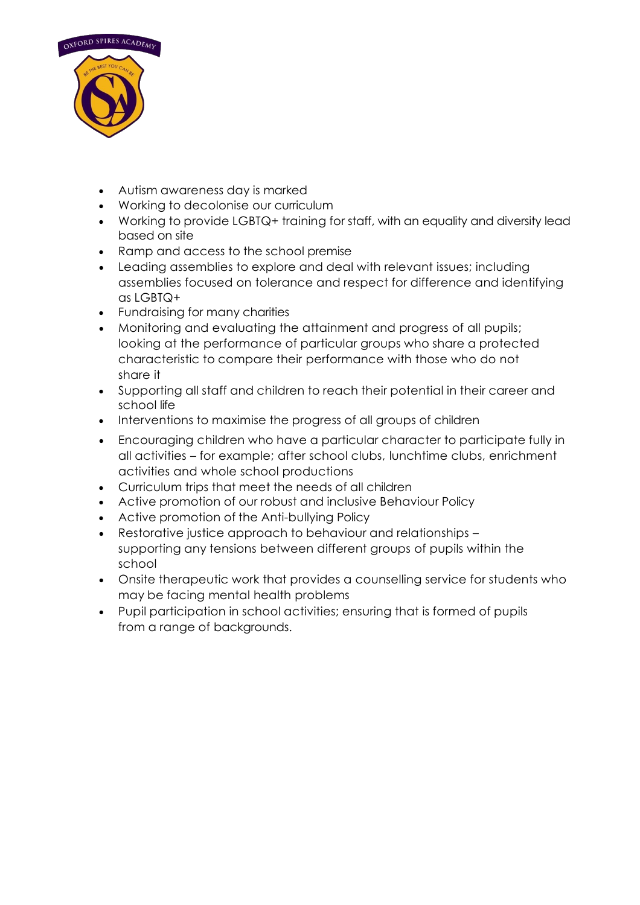

- Autism awareness day is marked
- Working to decolonise our curriculum
- Working to provide LGBTQ+ training for staff, with an equality and diversity lead based on site
- Ramp and access to the school premise
- Leading assemblies to explore and deal with relevant issues; including assemblies focused on tolerance and respect for difference and identifying as LGBTQ+
- Fundraising for many charities
- Monitoring and evaluating the attainment and progress of all pupils; looking at the performance of particular groups who share a protected characteristic to compare their performance with those who do not share it
- Supporting all staff and children to reach their potential in their career and school life
- Interventions to maximise the progress of all groups of children
- Encouraging children who have a particular character to participate fully in all activities – for example; after school clubs, lunchtime clubs, enrichment activities and whole school productions
- Curriculum trips that meet the needs of all children
- Active promotion of our robust and inclusive Behaviour Policy
- Active promotion of the Anti-bullying Policy
- Restorative justice approach to behaviour and relationships supporting any tensions between different groups of pupils within the school
- Onsite therapeutic work that provides a counselling service for students who may be facing mental health problems
- Pupil participation in school activities; ensuring that is formed of pupils from a range of backgrounds.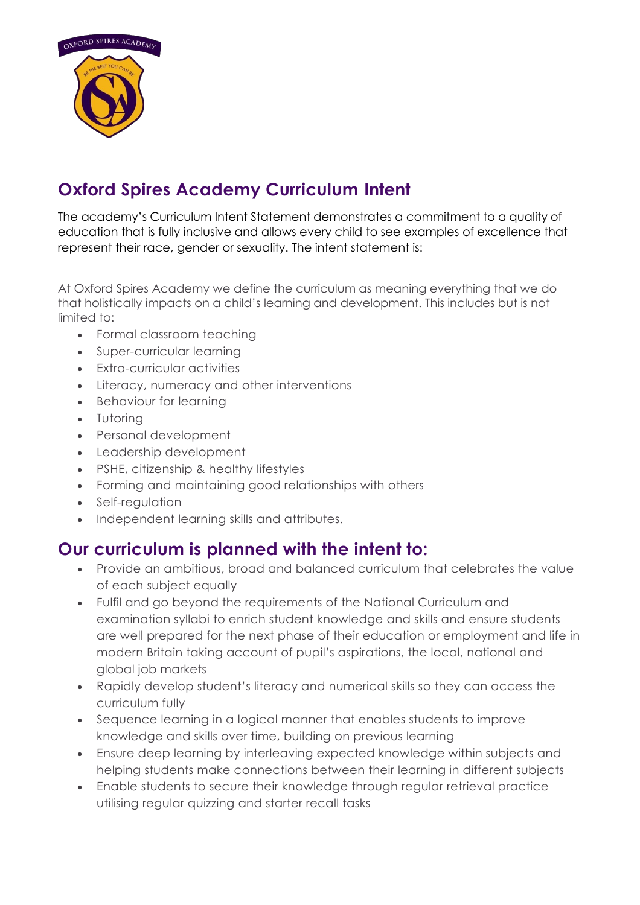

## **Oxford Spires Academy Curriculum Intent**

The academy's Curriculum Intent Statement demonstrates a commitment to a quality of education that is fully inclusive and allows every child to see examples of excellence that represent their race, gender or sexuality. The intent statement is:

At Oxford Spires Academy we define the curriculum as meaning everything that we do that holistically impacts on a child's learning and development. This includes but is not limited to:

- Formal classroom teaching
- Super-curricular learning
- Extra-curricular activities
- Literacy, numeracy and other interventions
- Behaviour for learning
- Tutoring
- Personal development
- Leadership development
- PSHE, citizenship & healthy lifestyles
- Forming and maintaining good relationships with others
- Self-regulation
- Independent learning skills and attributes.

## **Our curriculum is planned with the intent to:**

- Provide an ambitious, broad and balanced curriculum that celebrates the value of each subject equally
- Fulfil and go beyond the requirements of the National Curriculum and examination syllabi to enrich student knowledge and skills and ensure students are well prepared for the next phase of their education or employment and life in modern Britain taking account of pupil's aspirations, the local, national and global job markets
- Rapidly develop student's literacy and numerical skills so they can access the curriculum fully
- Sequence learning in a logical manner that enables students to improve knowledge and skills over time, building on previous learning
- Ensure deep learning by interleaving expected knowledge within subjects and helping students make connections between their learning in different subjects
- Enable students to secure their knowledge through regular retrieval practice utilising regular quizzing and starter recall tasks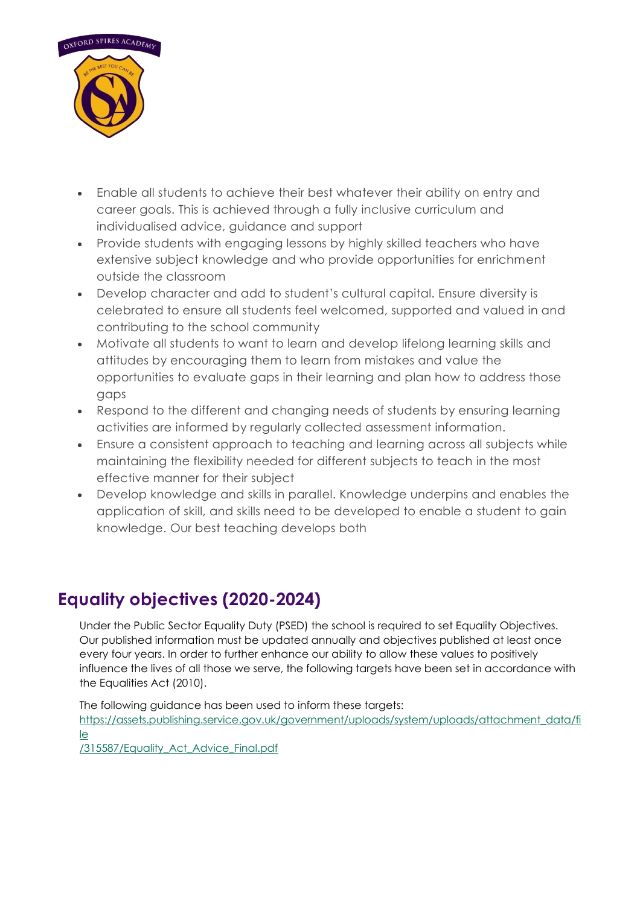

- Enable all students to achieve their best whatever their ability on entry and career goals. This is achieved through a fully inclusive curriculum and individualised advice, guidance and support
- Provide students with engaging lessons by highly skilled teachers who have extensive subject knowledge and who provide opportunities for enrichment outside the classroom
- Develop character and add to student's cultural capital. Ensure diversity is celebrated to ensure all students feel welcomed, supported and valued in and contributing to the school community
- Motivate all students to want to learn and develop lifelong learning skills and attitudes by encouraging them to learn from mistakes and value the opportunities to evaluate gaps in their learning and plan how to address those gaps
- Respond to the different and changing needs of students by ensuring learning activities are informed by regularly collected assessment information.
- Ensure a consistent approach to teaching and learning across all subjects while maintaining the flexibility needed for different subjects to teach in the most effective manner for their subject
- Develop knowledge and skills in parallel. Knowledge underpins and enables the application of skill, and skills need to be developed to enable a student to gain knowledge. Our best teaching develops both

## **Equality objectives (2020-2024)**

Under the Public Sector Equality Duty (PSED) the school is required to set Equality Objectives. Our published information must be updated annually and objectives published at least once every four years. In order to further enhance our ability to allow these values to positively influence the lives of all those we serve, the following targets have been set in accordance with the Equalities Act (2010).

The following guidance has been used to inform these targets:

[https://assets.publishing.service.gov.uk/government/uploads/system/uploads/attachment\\_data/fi](https://assets.publishing.service.gov.uk/government/uploads/system/uploads/attachment_data/file/315587/Equality_Act_Advice_Final.pdf) [le](https://assets.publishing.service.gov.uk/government/uploads/system/uploads/attachment_data/file/315587/Equality_Act_Advice_Final.pdf)

[/315587/Equality\\_Act\\_Advice\\_Final.pdf](https://assets.publishing.service.gov.uk/government/uploads/system/uploads/attachment_data/file/315587/Equality_Act_Advice_Final.pdf)